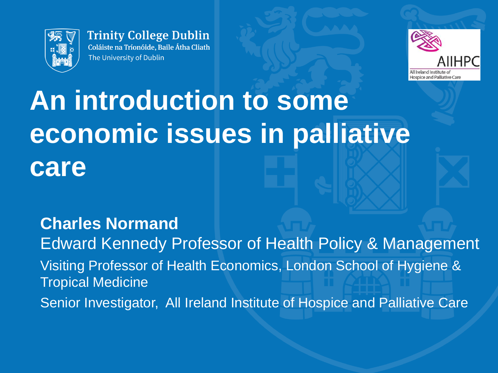

**Trinity College Dublin** Coláiste na Tríonóide, Baile Átha Cliath The University of Dublin



# **An introduction to some economic issues in palliative care**

#### **Charles Normand**

Edward Kennedy Professor of Health Policy & Management Visiting Professor of Health Economics, London School of Hygiene & Tropical Medicine Senior Investigator, All Ireland Institute of Hospice and Palliative Care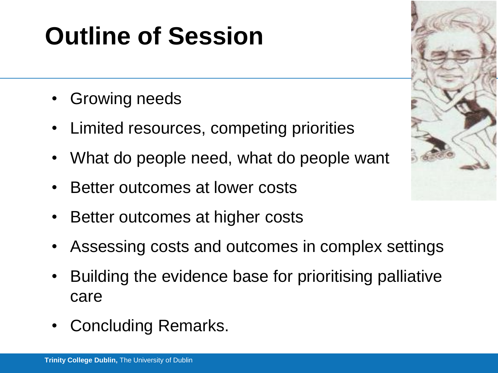# **Outline of Session**

- **Growing needs**
- Limited resources, competing priorities
- What do people need, what do people want
- Better outcomes at lower costs
- Better outcomes at higher costs
- Assessing costs and outcomes in complex settings
- Building the evidence base for prioritising palliative care
- Concluding Remarks.

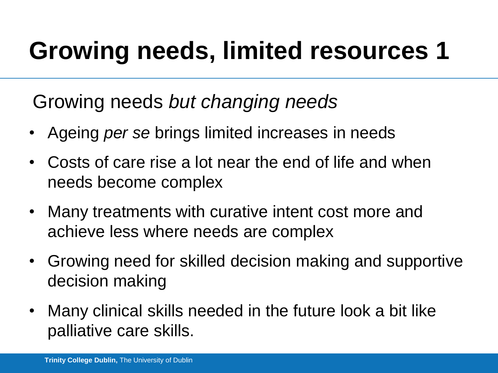# **Growing needs, limited resources 1**

Growing needs *but changing needs*

- Ageing *per se* brings limited increases in needs
- Costs of care rise a lot near the end of life and when needs become complex
- Many treatments with curative intent cost more and achieve less where needs are complex
- Growing need for skilled decision making and supportive decision making
- Many clinical skills needed in the future look a bit like palliative care skills.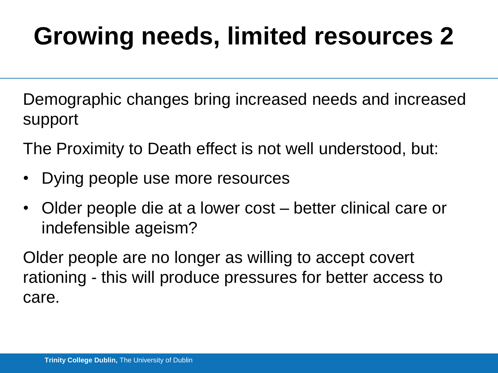# **Growing needs, limited resources 2**

Demographic changes bring increased needs and increased support

The Proximity to Death effect is not well understood, but:

- Dying people use more resources
- Older people die at a lower cost better clinical care or indefensible ageism?

Older people are no longer as willing to accept covert rationing - this will produce pressures for better access to care.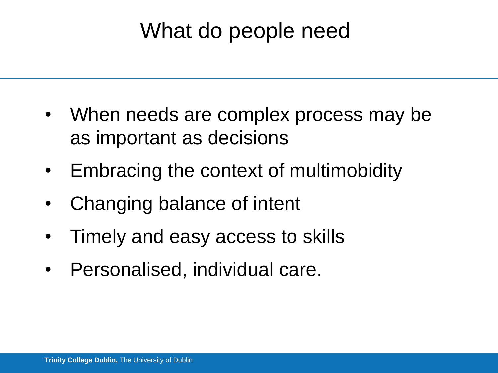### What do people need

- When needs are complex process may be as important as decisions
- Embracing the context of multimobidity
- Changing balance of intent
- Timely and easy access to skills
- Personalised, individual care.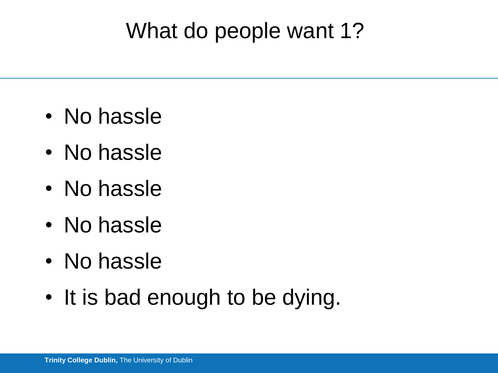### What do people want 1?

- No hassle
- No hassle
- No hassle
- No hassle
- No hassle
- It is bad enough to be dying.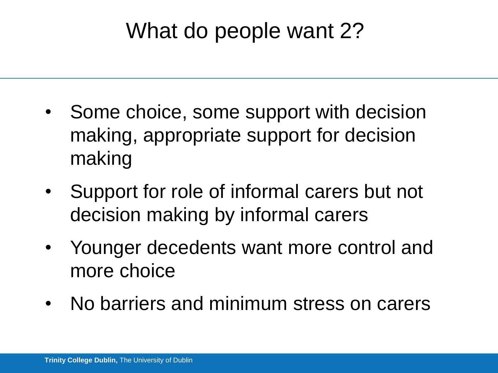### What do people want 2?

- Some choice, some support with decision making, appropriate support for decision making
- Support for role of informal carers but not decision making by informal carers
- Younger decedents want more control and more choice
- No barriers and minimum stress on carers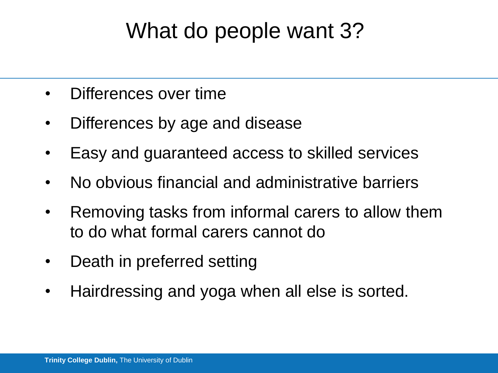### What do people want 3?

- Differences over time
- Differences by age and disease
- Easy and guaranteed access to skilled services
- No obvious financial and administrative barriers
- Removing tasks from informal carers to allow them to do what formal carers cannot do
- Death in preferred setting
- Hairdressing and yoga when all else is sorted.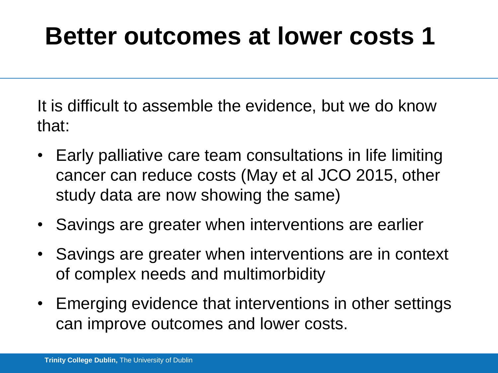## **Better outcomes at lower costs 1**

It is difficult to assemble the evidence, but we do know that:

- Early palliative care team consultations in life limiting cancer can reduce costs (May et al JCO 2015, other study data are now showing the same)
- Savings are greater when interventions are earlier
- Savings are greater when interventions are in context of complex needs and multimorbidity
- Emerging evidence that interventions in other settings can improve outcomes and lower costs.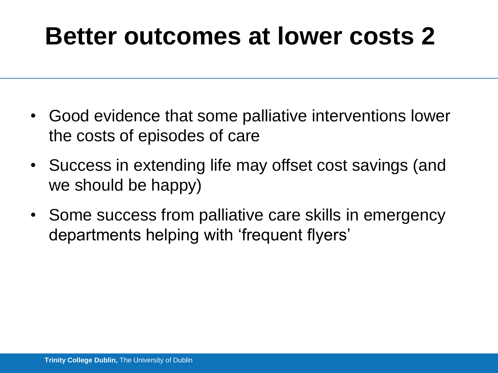## **Better outcomes at lower costs 2**

- Good evidence that some palliative interventions lower the costs of episodes of care
- Success in extending life may offset cost savings (and we should be happy)
- Some success from palliative care skills in emergency departments helping with 'frequent flyers'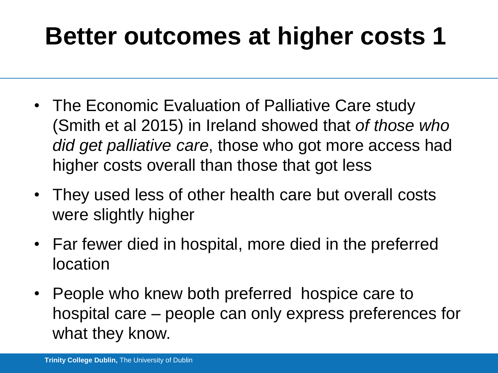## **Better outcomes at higher costs 1**

- The Economic Evaluation of Palliative Care study (Smith et al 2015) in Ireland showed that *of those who did get palliative care*, those who got more access had higher costs overall than those that got less
- They used less of other health care but overall costs were slightly higher
- Far fewer died in hospital, more died in the preferred location
- People who knew both preferred hospice care to hospital care – people can only express preferences for what they know.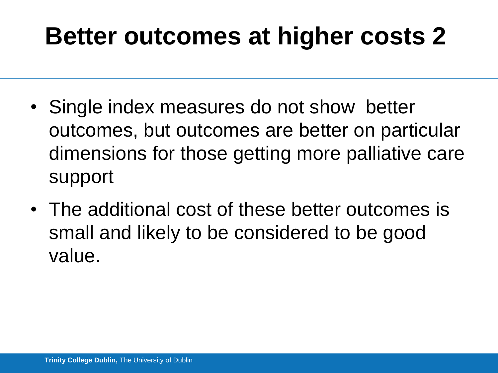## **Better outcomes at higher costs 2**

- Single index measures do not show better outcomes, but outcomes are better on particular dimensions for those getting more palliative care support
- The additional cost of these better outcomes is small and likely to be considered to be good value.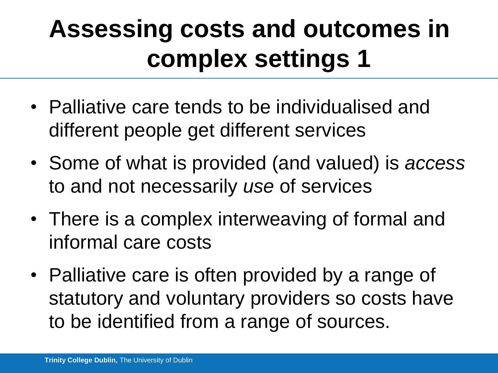# **Assessing costs and outcomes in complex settings 1**

- Palliative care tends to be individualised and different people get different services
- Some of what is provided (and valued) is *access* to and not necessarily *use* of services
- There is a complex interweaving of formal and informal care costs
- Palliative care is often provided by a range of statutory and voluntary providers so costs have to be identified from a range of sources.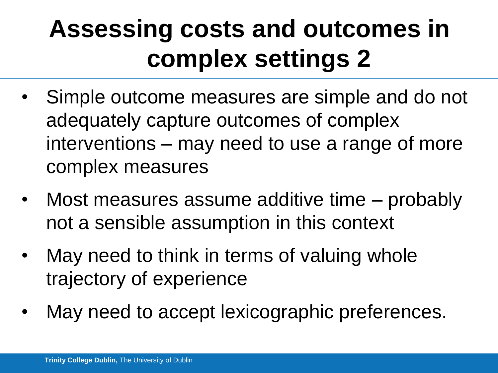# **Assessing costs and outcomes in complex settings 2**

- Simple outcome measures are simple and do not adequately capture outcomes of complex interventions – may need to use a range of more complex measures
- Most measures assume additive time probably not a sensible assumption in this context
- May need to think in terms of valuing whole trajectory of experience
- May need to accept lexicographic preferences.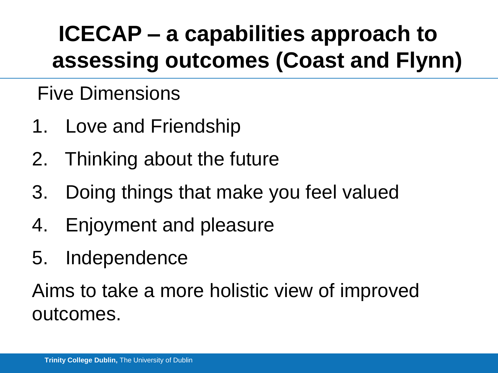## **ICECAP – a capabilities approach to assessing outcomes (Coast and Flynn)**

### Five Dimensions

- 1. Love and Friendship
- 2. Thinking about the future
- 3. Doing things that make you feel valued
- 4. Enjoyment and pleasure
- 5. Independence

Aims to take a more holistic view of improved outcomes.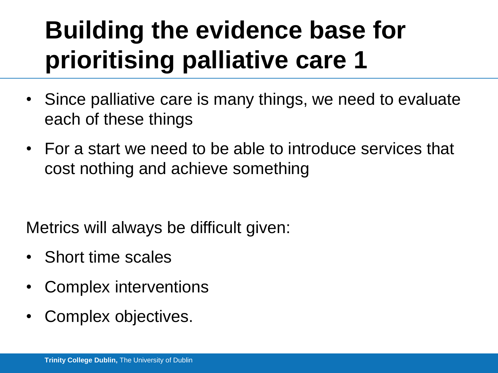# **Building the evidence base for prioritising palliative care 1**

- Since palliative care is many things, we need to evaluate each of these things
- For a start we need to be able to introduce services that cost nothing and achieve something

Metrics will always be difficult given:

- Short time scales
- Complex interventions
- Complex objectives.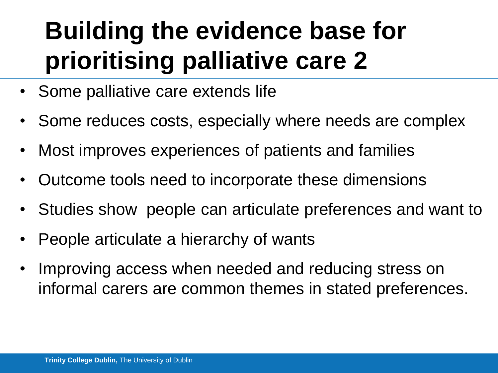# **Building the evidence base for prioritising palliative care 2**

- Some palliative care extends life
- Some reduces costs, especially where needs are complex
- Most improves experiences of patients and families
- Outcome tools need to incorporate these dimensions
- Studies show people can articulate preferences and want to
- People articulate a hierarchy of wants
- Improving access when needed and reducing stress on informal carers are common themes in stated preferences.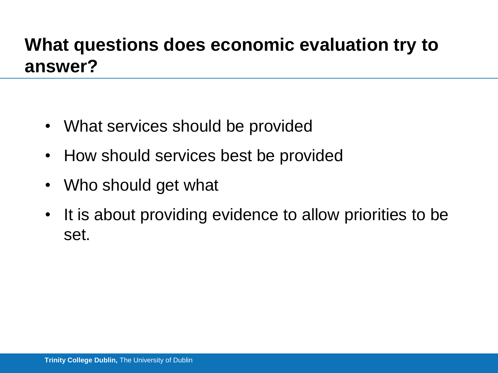#### **What questions does economic evaluation try to answer?**

- What services should be provided
- How should services best be provided
- Who should get what
- It is about providing evidence to allow priorities to be set.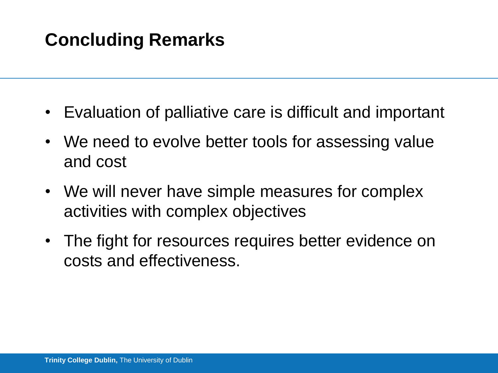#### **Concluding Remarks**

- Evaluation of palliative care is difficult and important
- We need to evolve better tools for assessing value and cost
- We will never have simple measures for complex activities with complex objectives
- The fight for resources requires better evidence on costs and effectiveness.